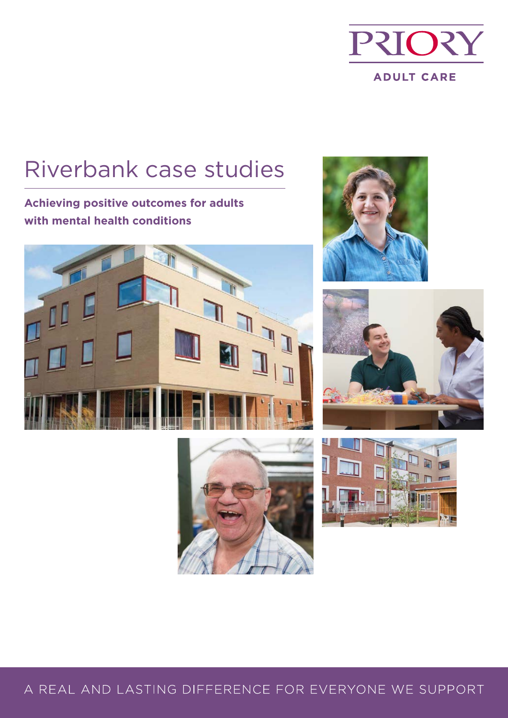

# Riverbank case studies

**Achieving positive outcomes for adults with mental health conditions**









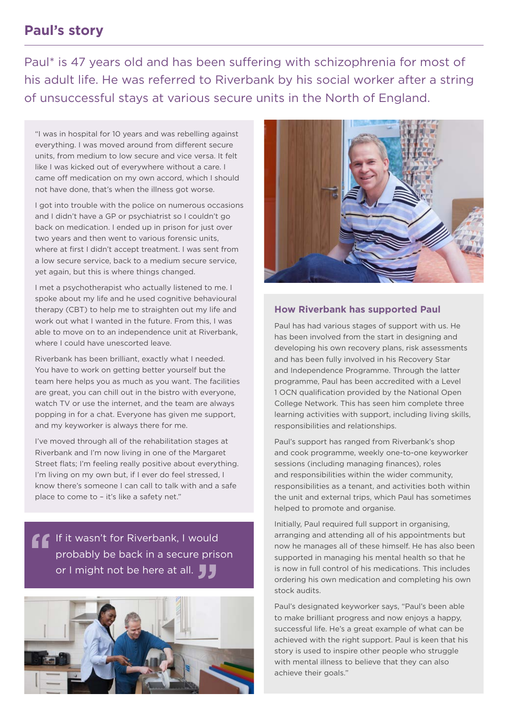#### **Paul's story**

Paul\* is 47 years old and has been suffering with schizophrenia for most of his adult life. He was referred to Riverbank by his social worker after a string of unsuccessful stays at various secure units in the North of England.

"I was in hospital for 10 years and was rebelling against everything. I was moved around from different secure units, from medium to low secure and vice versa. It felt like I was kicked out of everywhere without a care. I came off medication on my own accord, which I should not have done, that's when the illness got worse.

I got into trouble with the police on numerous occasions and I didn't have a GP or psychiatrist so I couldn't go back on medication. I ended up in prison for just over two years and then went to various forensic units, where at first I didn't accept treatment. I was sent from a low secure service, back to a medium secure service, yet again, but this is where things changed.

I met a psychotherapist who actually listened to me. I spoke about my life and he used cognitive behavioural therapy (CBT) to help me to straighten out my life and work out what I wanted in the future. From this, I was able to move on to an independence unit at Riverbank, where I could have unescorted leave.

Riverbank has been brilliant, exactly what I needed. You have to work on getting better yourself but the team here helps you as much as you want. The facilities are great, you can chill out in the bistro with everyone, watch TV or use the internet, and the team are always popping in for a chat. Everyone has given me support, and my keyworker is always there for me.

I've moved through all of the rehabilitation stages at Riverbank and I'm now living in one of the Margaret Street flats; I'm feeling really positive about everything. I'm living on my own but, if I ever do feel stressed, I know there's someone I can call to talk with and a safe place to come to – it's like a safety net."

If it wasn't for Riverbank, I would probably be back in a secure prison or I might not be here at all.





#### **How Riverbank has supported Paul**

Paul has had various stages of support with us. He has been involved from the start in designing and developing his own recovery plans, risk assessments and has been fully involved in his Recovery Star and Independence Programme. Through the latter programme, Paul has been accredited with a Level 1 OCN qualification provided by the National Open College Network. This has seen him complete three learning activities with support, including living skills, responsibilities and relationships.

Paul's support has ranged from Riverbank's shop and cook programme, weekly one-to-one keyworker sessions (including managing finances), roles and responsibilities within the wider community, responsibilities as a tenant, and activities both within the unit and external trips, which Paul has sometimes helped to promote and organise.

Initially, Paul required full support in organising, arranging and attending all of his appointments but now he manages all of these himself. He has also been supported in managing his mental health so that he is now in full control of his medications. This includes ordering his own medication and completing his own stock audits.

Paul's designated keyworker says, "Paul's been able to make brilliant progress and now enjoys a happy, successful life. He's a great example of what can be achieved with the right support. Paul is keen that his story is used to inspire other people who struggle with mental illness to believe that they can also achieve their goals."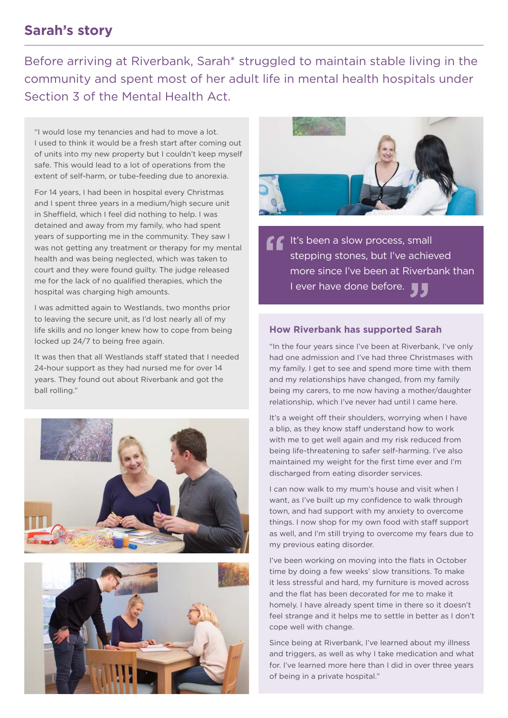### **Sarah's story**

Before arriving at Riverbank, Sarah\* struggled to maintain stable living in the community and spent most of her adult life in mental health hospitals under Section 3 of the Mental Health Act.

"I would lose my tenancies and had to move a lot. I used to think it would be a fresh start after coming out of units into my new property but I couldn't keep myself safe. This would lead to a lot of operations from the extent of self-harm, or tube-feeding due to anorexia.

For 14 years, I had been in hospital every Christmas and I spent three years in a medium/high secure unit in Sheffield, which I feel did nothing to help. I was detained and away from my family, who had spent years of supporting me in the community. They saw I was not getting any treatment or therapy for my mental health and was being neglected, which was taken to court and they were found guilty. The judge released me for the lack of no qualified therapies, which the hospital was charging high amounts.

I was admitted again to Westlands, two months prior to leaving the secure unit, as I'd lost nearly all of my life skills and no longer knew how to cope from being locked up 24/7 to being free again.

It was then that all Westlands staff stated that I needed 24-hour support as they had nursed me for over 14 years. They found out about Riverbank and got the ball rolling."







It's been a slow process, small stepping stones, but I've achieved more since I've been at Riverbank than I ever have done before.

#### **How Riverbank has supported Sarah**

"In the four years since I've been at Riverbank, I've only had one admission and I've had three Christmases with my family. I get to see and spend more time with them and my relationships have changed, from my family being my carers, to me now having a mother/daughter relationship, which I've never had until I came here.

It's a weight off their shoulders, worrying when I have a blip, as they know staff understand how to work with me to get well again and my risk reduced from being life-threatening to safer self-harming. I've also maintained my weight for the first time ever and I'm discharged from eating disorder services.

I can now walk to my mum's house and visit when I want, as I've built up my confidence to walk through town, and had support with my anxiety to overcome things. I now shop for my own food with staff support as well, and I'm still trying to overcome my fears due to my previous eating disorder.

I've been working on moving into the flats in October time by doing a few weeks' slow transitions. To make it less stressful and hard, my furniture is moved across and the flat has been decorated for me to make it homely. I have already spent time in there so it doesn't feel strange and it helps me to settle in better as I don't cope well with change.

Since being at Riverbank, I've learned about my illness and triggers, as well as why I take medication and what for. I've learned more here than I did in over three years of being in a private hospital."